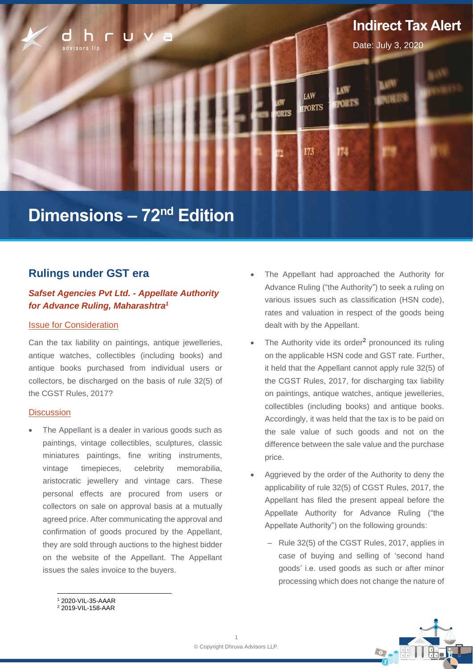

# **Dimensions – 72<sup>nd</sup> Edition**

# **Rulings under GST era**

# *Safset Agencies Pvt Ltd. - Appellate Authority for Advance Ruling, Maharashtra<sup>1</sup>*

### Issue for Consideration

Can the tax liability on paintings, antique jewelleries, antique watches, collectibles (including books) and antique books purchased from individual users or collectors, be discharged on the basis of rule 32(5) of the CGST Rules, 2017?

### **Discussion**

The Appellant is a dealer in various goods such as paintings, vintage collectibles, sculptures, classic miniatures paintings, fine writing instruments, vintage timepieces, celebrity memorabilia, aristocratic jewellery and vintage cars. These personal effects are procured from users or collectors on sale on approval basis at a mutually agreed price. After communicating the approval and confirmation of goods procured by the Appellant, they are sold through auctions to the highest bidder on the website of the Appellant. The Appellant issues the sales invoice to the buyers.

- The Appellant had approached the Authority for Advance Ruling ("the Authority") to seek a ruling on various issues such as classification (HSN code), rates and valuation in respect of the goods being dealt with by the Appellant.
- The Authority vide its order<sup>2</sup> pronounced its ruling on the applicable HSN code and GST rate. Further, it held that the Appellant cannot apply rule 32(5) of the CGST Rules, 2017, for discharging tax liability on paintings, antique watches, antique jewelleries, collectibles (including books) and antique books. Accordingly, it was held that the tax is to be paid on the sale value of such goods and not on the difference between the sale value and the purchase price.
- Aggrieved by the order of the Authority to deny the applicability of rule 32(5) of CGST Rules, 2017, the Appellant has filed the present appeal before the Appellate Authority for Advance Ruling ("the Appellate Authority") on the following grounds:
	- ‒ Rule 32(5) of the CGST Rules, 2017, applies in case of buying and selling of 'second hand goods' i.e. used goods as such or after minor processing which does not change the nature of



<sup>1</sup> 2020-VIL-35-AAAR <sup>2</sup> 2019-VIL-158-AAR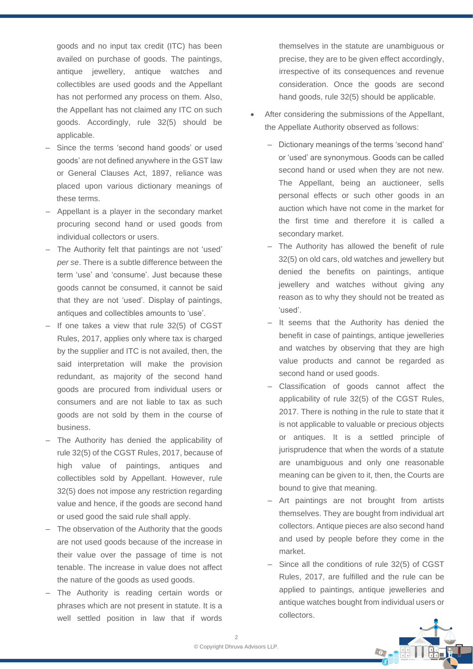goods and no input tax credit (ITC) has been availed on purchase of goods. The paintings, antique jewellery, antique watches and collectibles are used goods and the Appellant has not performed any process on them. Also, the Appellant has not claimed any ITC on such goods. Accordingly, rule 32(5) should be applicable.

- ‒ Since the terms 'second hand goods' or used goods' are not defined anywhere in the GST law or General Clauses Act, 1897, reliance was placed upon various dictionary meanings of these terms.
- ‒ Appellant is a player in the secondary market procuring second hand or used goods from individual collectors or users.
- The Authority felt that paintings are not 'used' *per se*. There is a subtle difference between the term 'use' and 'consume'. Just because these goods cannot be consumed, it cannot be said that they are not 'used'. Display of paintings, antiques and collectibles amounts to 'use'.
- If one takes a view that rule 32(5) of CGST Rules, 2017, applies only where tax is charged by the supplier and ITC is not availed, then, the said interpretation will make the provision redundant, as majority of the second hand goods are procured from individual users or consumers and are not liable to tax as such goods are not sold by them in the course of business.
- ‒ The Authority has denied the applicability of rule 32(5) of the CGST Rules, 2017, because of high value of paintings, antiques and collectibles sold by Appellant. However, rule 32(5) does not impose any restriction regarding value and hence, if the goods are second hand or used good the said rule shall apply.
- The observation of the Authority that the goods are not used goods because of the increase in their value over the passage of time is not tenable. The increase in value does not affect the nature of the goods as used goods.
- The Authority is reading certain words or phrases which are not present in statute. It is a well settled position in law that if words

themselves in the statute are unambiguous or precise, they are to be given effect accordingly, irrespective of its consequences and revenue consideration. Once the goods are second hand goods, rule 32(5) should be applicable.

- After considering the submissions of the Appellant, the Appellate Authority observed as follows:
	- ‒ Dictionary meanings of the terms 'second hand' or 'used' are synonymous. Goods can be called second hand or used when they are not new. The Appellant, being an auctioneer, sells personal effects or such other goods in an auction which have not come in the market for the first time and therefore it is called a secondary market.
	- The Authority has allowed the benefit of rule 32(5) on old cars, old watches and jewellery but denied the benefits on paintings, antique jewellery and watches without giving any reason as to why they should not be treated as 'used'.
	- ‒ It seems that the Authority has denied the benefit in case of paintings, antique jewelleries and watches by observing that they are high value products and cannot be regarded as second hand or used goods.
	- Classification of goods cannot affect the applicability of rule 32(5) of the CGST Rules, 2017. There is nothing in the rule to state that it is not applicable to valuable or precious objects or antiques. It is a settled principle of jurisprudence that when the words of a statute are unambiguous and only one reasonable meaning can be given to it, then, the Courts are bound to give that meaning.
	- Art paintings are not brought from artists themselves. They are bought from individual art collectors. Antique pieces are also second hand and used by people before they come in the market.
	- Since all the conditions of rule 32(5) of CGST Rules, 2017, are fulfilled and the rule can be applied to paintings, antique jewelleries and antique watches bought from individual users or collectors.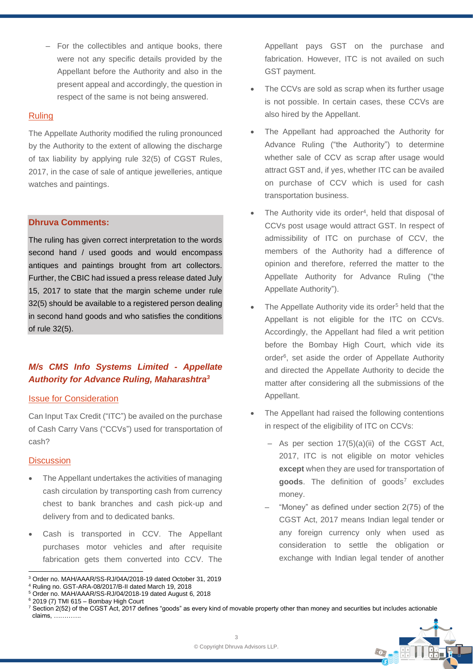‒ For the collectibles and antique books, there were not any specific details provided by the Appellant before the Authority and also in the present appeal and accordingly, the question in respect of the same is not being answered.

### Ruling

The Appellate Authority modified the ruling pronounced by the Authority to the extent of allowing the discharge of tax liability by applying rule 32(5) of CGST Rules, 2017, in the case of sale of antique jewelleries, antique watches and paintings.

## **Dhruva Comments:**

The ruling has given correct interpretation to the words second hand / used goods and would encompass antiques and paintings brought from art collectors. Further, the CBIC had issued a press release dated July 15, 2017 to state that the margin scheme under rule 32(5) should be available to a registered person dealing in second hand goods and who satisfies the conditions of rule 32(5).

# *M/s CMS Info Systems Limited - Appellate Authority for Advance Ruling, Maharashtra<sup>3</sup>*

### Issue for Consideration

Can Input Tax Credit ("ITC") be availed on the purchase of Cash Carry Vans ("CCVs") used for transportation of cash?

### **Discussion**

- The Appellant undertakes the activities of managing cash circulation by transporting cash from currency chest to bank branches and cash pick-up and delivery from and to dedicated banks.
- Cash is transported in CCV. The Appellant purchases motor vehicles and after requisite fabrication gets them converted into CCV. The

<sup>5</sup> Order no. MAH/AAAR/SS-RJ/04/2018-19 dated August 6, 2018

- The CCVs are sold as scrap when its further usage is not possible. In certain cases, these CCVs are also hired by the Appellant.
- The Appellant had approached the Authority for Advance Ruling ("the Authority") to determine whether sale of CCV as scrap after usage would attract GST and, if yes, whether ITC can be availed on purchase of CCV which is used for cash transportation business.
- The Authority vide its order<sup>4</sup>, held that disposal of CCVs post usage would attract GST. In respect of admissibility of ITC on purchase of CCV, the members of the Authority had a difference of opinion and therefore, referred the matter to the Appellate Authority for Advance Ruling ("the Appellate Authority").
- The Appellate Authority vide its order<sup>5</sup> held that the Appellant is not eligible for the ITC on CCVs. Accordingly, the Appellant had filed a writ petition before the Bombay High Court, which vide its order<sup>6</sup>, set aside the order of Appellate Authority and directed the Appellate Authority to decide the matter after considering all the submissions of the Appellant.
- The Appellant had raised the following contentions in respect of the eligibility of ITC on CCVs:
	- $-$  As per section 17(5)(a)(ii) of the CGST Act, 2017, ITC is not eligible on motor vehicles **except** when they are used for transportation of goods. The definition of goods<sup>7</sup> excludes money.
	- ‒ "Money" as defined under section 2(75) of the CGST Act, 2017 means Indian legal tender or any foreign currency only when used as consideration to settle the obligation or exchange with Indian legal tender of another

<sup>7</sup> Section 2(52) of the CGST Act, 2017 defines "goods" as every kind of movable property other than money and securities but includes actionable claims, ………….



<sup>3</sup> Order no. MAH/AAAR/SS-RJ/04A/2018-19 dated October 31, 2019

<sup>4</sup> Ruling no. GST-ARA-08/2017/B-II dated March 19, 2018

 $6$  2019 (7) TMI 615 - Bombay High Court

Appellant pays GST on the purchase and fabrication. However, ITC is not availed on such GST payment.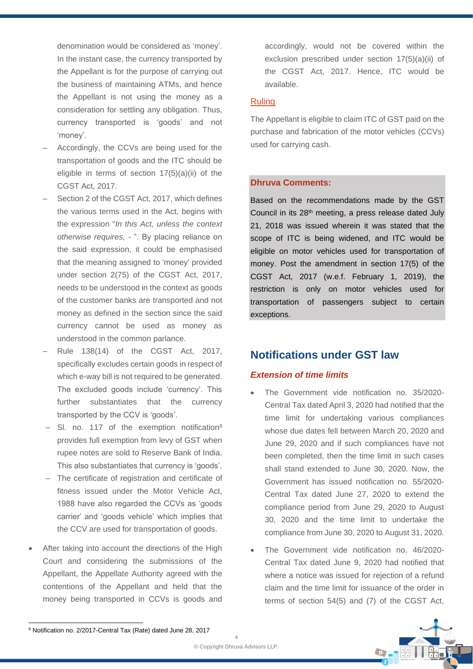denomination would be considered as 'money'. In the instant case, the currency transported by the Appellant is for the purpose of carrying out the business of maintaining ATMs, and hence the Appellant is not using the money as a consideration for settling any obligation. Thus, currency transported is 'goods' and not 'money'.

- ‒ Accordingly, the CCVs are being used for the transportation of goods and the ITC should be eligible in terms of section  $17(5)(a)(ii)$  of the CGST Act, 2017.
- Section 2 of the CGST Act, 2017, which defines the various terms used in the Act, begins with the expression "*In this Act, unless the context otherwise requires, -* ". By placing reliance on the said expression, it could be emphasised that the meaning assigned to 'money' provided under section 2(75) of the CGST Act, 2017, needs to be understood in the context as goods of the customer banks are transported and not money as defined in the section since the said currency cannot be used as money as understood in the common parlance.
- ‒ Rule 138(14) of the CGST Act, 2017, specifically excludes certain goods in respect of which e-way bill is not required to be generated. The excluded goods include 'currency'. This further substantiates that the currency transported by the CCV is 'goods'.
- Sl. no. 117 of the exemption notification<sup>8</sup> provides full exemption from levy of GST when rupee notes are sold to Reserve Bank of India. This also substantiates that currency is 'goods'.
- ‒ The certificate of registration and certificate of fitness issued under the Motor Vehicle Act, 1988 have also regarded the CCVs as 'goods carrier' and 'goods vehicle' which implies that the CCV are used for transportation of goods.
- After taking into account the directions of the High Court and considering the submissions of the Appellant, the Appellate Authority agreed with the contentions of the Appellant and held that the money being transported in CCVs is goods and

accordingly, would not be covered within the exclusion prescribed under section 17(5)(a)(ii) of the CGST Act, 2017. Hence, ITC would be available.

# Ruling

The Appellant is eligible to claim ITC of GST paid on the purchase and fabrication of the motor vehicles (CCVs) used for carrying cash.

# **Dhruva Comments:**

Based on the recommendations made by the GST Council in its 28<sup>th</sup> meeting, a press release dated July 21, 2018 was issued wherein it was stated that the scope of ITC is being widened, and ITC would be eligible on motor vehicles used for transportation of money. Post the amendment in section 17(5) of the CGST Act, 2017 (w.e.f. February 1, 2019), the restriction is only on motor vehicles used for transportation of passengers subject to certain exceptions.

# **Notifications under GST law**

# *Extension of time limits*

- The Government vide notification no. 35/2020- Central Tax dated April 3, 2020 had notified that the time limit for undertaking various compliances whose due dates fell between March 20, 2020 and June 29, 2020 and if such compliances have not been completed, then the time limit in such cases shall stand extended to June 30, 2020. Now, the Government has issued notification no. 55/2020- Central Tax dated June 27, 2020 to extend the compliance period from June 29, 2020 to August 30, 2020 and the time limit to undertake the compliance from June 30, 2020 to August 31, 2020.
- The Government vide notification no. 46/2020- Central Tax dated June 9, 2020 had notified that where a notice was issued for rejection of a refund claim and the time limit for issuance of the order in terms of section 54(5) and (7) of the CGST Act,



<sup>8</sup> Notification no. 2/2017-Central Tax (Rate) dated June 28, 2017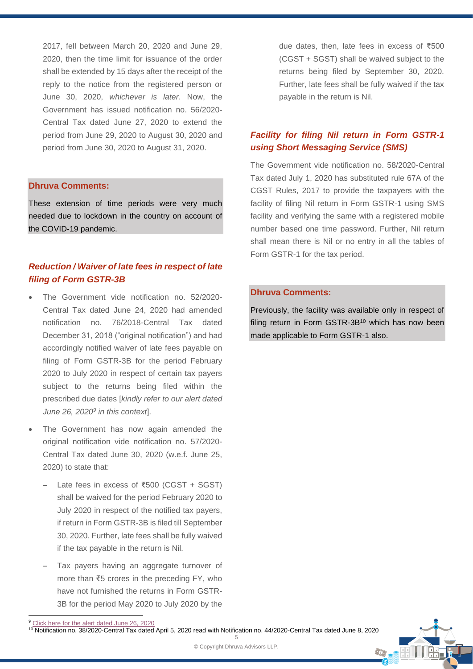2017, fell between March 20, 2020 and June 29, 2020, then the time limit for issuance of the order shall be extended by 15 days after the receipt of the reply to the notice from the registered person or June 30, 2020, *whichever is later*. Now, the Government has issued notification no. 56/2020- Central Tax dated June 27, 2020 to extend the period from June 29, 2020 to August 30, 2020 and period from June 30, 2020 to August 31, 2020.

#### **Dhruva Comments:**

These extension of time periods were very much needed due to lockdown in the country on account of the COVID-19 pandemic.

# *Reduction / Waiver of late fees in respect of late filing of Form GSTR-3B*

- The Government vide notification no. 52/2020- Central Tax dated June 24, 2020 had amended notification no. 76/2018-Central Tax dated December 31, 2018 ("original notification") and had accordingly notified waiver of late fees payable on filing of Form GSTR-3B for the period February 2020 to July 2020 in respect of certain tax payers subject to the returns being filed within the prescribed due dates [*kindly refer to our alert dated June 26, 2020<sup>9</sup> in this context*].
- The Government has now again amended the original notification vide notification no. 57/2020- Central Tax dated June 30, 2020 (w.e.f. June 25, 2020) to state that:
	- ‒ Late fees in excess of ₹500 (CGST + SGST) shall be waived for the period February 2020 to July 2020 in respect of the notified tax payers, if return in Form GSTR-3B is filed till September 30, 2020. Further, late fees shall be fully waived if the tax payable in the return is Nil.
	- ‒ Tax payers having an aggregate turnover of more than ₹5 crores in the preceding FY, who have not furnished the returns in Form GSTR-3B for the period May 2020 to July 2020 by the

due dates, then, late fees in excess of ₹500 (CGST + SGST) shall be waived subject to the returns being filed by September 30, 2020. Further, late fees shall be fully waived if the tax payable in the return is Nil.

# *Facility for filing Nil return in Form GSTR-1 using Short Messaging Service (SMS)*

The Government vide notification no. 58/2020-Central Tax dated July 1, 2020 has substituted rule 67A of the CGST Rules, 2017 to provide the taxpayers with the facility of filing Nil return in Form GSTR-1 using SMS facility and verifying the same with a registered mobile number based one time password. Further, Nil return shall mean there is Nil or no entry in all the tables of Form GSTR-1 for the tax period.

# **Dhruva Comments:**

Previously, the facility was available only in respect of filing return in Form GSTR-3B<sup>10</sup> which has now been made applicable to Form GSTR-1 also.

 $\odot$ 

<sup>&</sup>lt;sup>9</sup> [Click here for the alert dated June 26,](https://dhruvaadvisors.com/insights/files/Dhruva_GST_Alert_Extension_in_prescribed_dates_for_undertaking_GST_compliances_in_view_of_COVID19_pandemic.pdf) 2020

<sup>10</sup> Notification no. 38/2020-Central Tax dated April 5, 2020 read with Notification no. 44/2020-Central Tax dated June 8, 2020